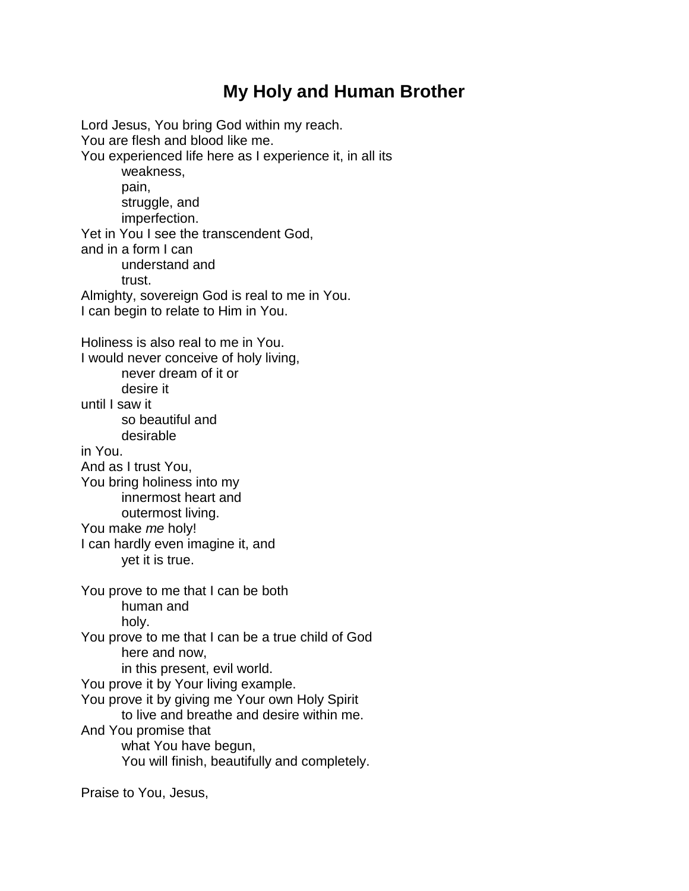## **My Holy and Human Brother**

Lord Jesus, You bring God within my reach. You are flesh and blood like me. You experienced life here as I experience it, in all its weakness, pain, struggle, and imperfection. Yet in You I see the transcendent God, and in a form I can understand and trust. Almighty, sovereign God is real to me in You. I can begin to relate to Him in You. Holiness is also real to me in You. I would never conceive of holy living, never dream of it or desire it until I saw it so beautiful and desirable in You. And as I trust You, You bring holiness into my innermost heart and outermost living. You make *me* holy! I can hardly even imagine it, and yet it is true. You prove to me that I can be both human and holy. You prove to me that I can be a true child of God here and now, in this present, evil world. You prove it by Your living example. You prove it by giving me Your own Holy Spirit to live and breathe and desire within me. And You promise that what You have begun, You will finish, beautifully and completely.

Praise to You, Jesus,